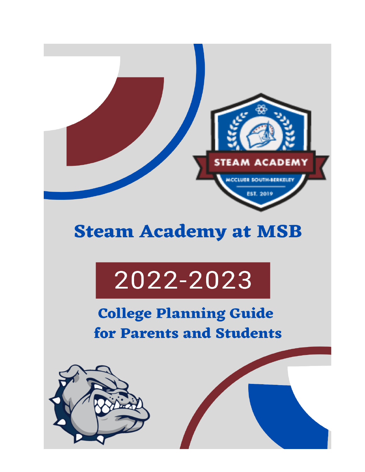

### **Steam Academy at MSB**

# 2022-2023

### **College Planning Guide** for Parents and Students

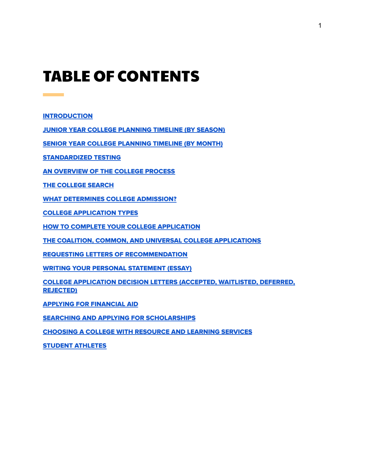### TABLE OF CONTENTS

[INTRODUCTION](#page-2-0)

**Contract Contract** 

JUNIOR YEAR COLLEGE [PLANNING](#page-3-0) TIMELINE (BY SEASON)

SENIOR YEAR COLLEGE [PLANNING](#page-4-0) TIMELINE (BY MONTH)

[STANDARDIZED](#page-5-0) TESTING

AN OVERVIEW OF THE COLLEGE PROCESS

THE [COLLEGE](#page-9-0) SEARCH

WHAT [DETERMINES](#page-11-0) COLLEGE ADMISSION?

COLLEGE [APPLICATION](#page-13-0) TYPES

HOW TO COMPLETE YOUR COLLEGE [APPLICATION](#page-14-0)

THE COALITION, COMMON, AND UNIVERSAL COLLEGE [APPLICATIONS](#page-16-0)

REQUESTING LETTERS OF [RECOMMENDATION](#page-17-0)

WRITING YOUR PERSONAL [STATEMENT](#page-19-0) (ESSAY)

COLLEGE [APPLICATION](#page-20-0) DECISION LETTERS (ACCEPTED, WAITLISTED, DEFERRED, [REJECTED\)](#page-20-0)

APPLYING FOR [FINANCIAL](#page-22-0) AID

SEARCHING AND APPLYING FOR [SCHOLARSHIPS](#page-25-0)

[CHOOSING](#page-27-0) A COLLEGE WITH RESOURCE AND LEARNING SERVICES

STUDENT [ATHLETES](#page-28-0)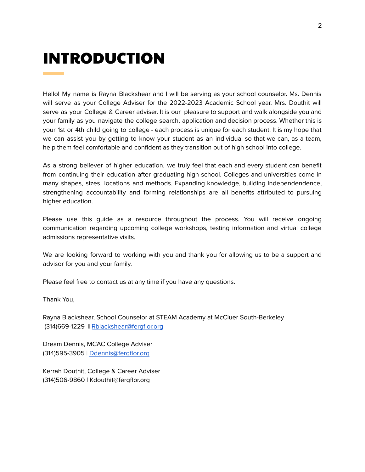### <span id="page-2-0"></span>INTRODUCTION

Hello! My name is Rayna Blackshear and I will be serving as your school counselor. Ms. Dennis will serve as your College Adviser for the 2022-2023 Academic School year. Mrs. Douthit will serve as your College & Career adviser. It is our pleasure to support and walk alongside you and your family as you navigate the college search, application and decision process. Whether this is your 1st or 4th child going to college - each process is unique for each student. It is my hope that we can assist you by getting to know your student as an individual so that we can, as a team, help them feel comfortable and confident as they transition out of high school into college.

As a strong believer of higher education, we truly feel that each and every student can benefit from continuing their education after graduating high school. Colleges and universities come in many shapes, sizes, locations and methods. Expanding knowledge, building independendence, strengthening accountability and forming relationships are all benefits attributed to pursuing higher education.

Please use this guide as a resource throughout the process. You will receive ongoing communication regarding upcoming college workshops, testing information and virtual college admissions representative visits.

We are looking forward to working with you and thank you for allowing us to be a support and advisor for you and your family.

Please feel free to contact us at any time if you have any questions.

Thank You,

Rayna Blackshear, School Counselor at STEAM Academy at McCluer South-Berkeley (314)669-1229 **I** [Rblackshear@fergflor.org](mailto:Rblackshear@fergflor.org)

Dream Dennis, MCAC College Adviser (314)595-3905 | [Ddennis@fergflor.org](mailto:Ddennis@fergflor.org)

Kerrah Douthit, College & Career Adviser (314)506-9860 | Kdouthit@fergflor.org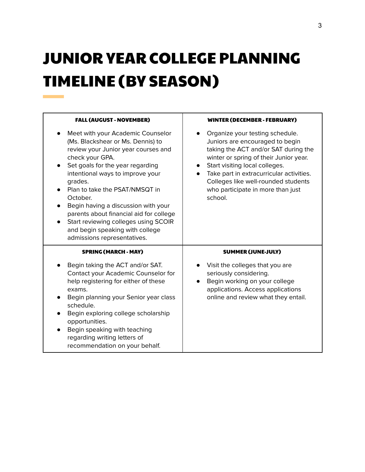## <span id="page-3-0"></span>JUNIOR YEAR COLLEGE PLANNING TIMELINE (BY SEASON)

| <b>FALL (AUGUST - NOVEMBER)</b>                                                                                                                                                                                                                                                                                                                                                                                                                               | <b>WINTER (DECEMBER - FEBRUARY)</b>                                                                                                                                                                                                                                                                                       |
|---------------------------------------------------------------------------------------------------------------------------------------------------------------------------------------------------------------------------------------------------------------------------------------------------------------------------------------------------------------------------------------------------------------------------------------------------------------|---------------------------------------------------------------------------------------------------------------------------------------------------------------------------------------------------------------------------------------------------------------------------------------------------------------------------|
| Meet with your Academic Counselor<br>(Ms. Blackshear or Ms. Dennis) to<br>review your Junior year courses and<br>check your GPA.<br>Set goals for the year regarding<br>intentional ways to improve your<br>grades.<br>Plan to take the PSAT/NMSQT in<br>October.<br>Begin having a discussion with your<br>parents about financial aid for college<br>Start reviewing colleges using SCOIR<br>and begin speaking with college<br>admissions representatives. | Organize your testing schedule.<br>Juniors are encouraged to begin<br>taking the ACT and/or SAT during the<br>winter or spring of their Junior year.<br>Start visiting local colleges.<br>Take part in extracurricular activities.<br>Colleges like well-rounded students<br>who participate in more than just<br>school. |
| <b>SPRING (MARCH - MAY)</b>                                                                                                                                                                                                                                                                                                                                                                                                                                   | <b>SUMMER (JUNE-JULY)</b>                                                                                                                                                                                                                                                                                                 |
| Begin taking the ACT and/or SAT.<br>Contact your Academic Counselor for<br>help registering for either of these<br>exams.<br>Begin planning your Senior year class<br>schedule.<br>Begin exploring college scholarship<br>opportunities.<br>Begin speaking with teaching<br>regarding writing letters of                                                                                                                                                      | Visit the colleges that you are<br>seriously considering.<br>Begin working on your college<br>applications. Access applications<br>online and review what they entail.                                                                                                                                                    |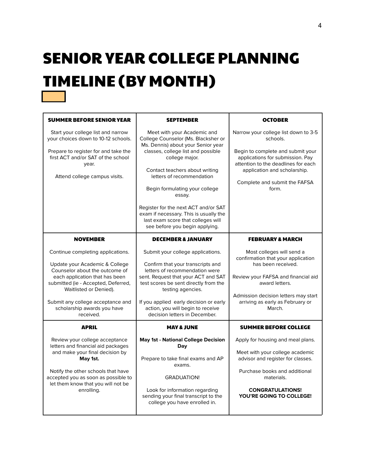## SENIOR YEAR COLLEGE PLANNING TIMELINE (BY MONTH)

<span id="page-4-0"></span> $\mathcal{L}^{\text{max}}_{\text{max}}$ 

| <b>SUMMER BEFORE SENIOR YEAR</b>                                                                                                                                                                                                                                                          | <b>SEPTEMBER</b>                                                                                                                                                                                                                                                                                                                                                                                                                      | <b>OCTOBER</b>                                                                                                                                                                                                                             |
|-------------------------------------------------------------------------------------------------------------------------------------------------------------------------------------------------------------------------------------------------------------------------------------------|---------------------------------------------------------------------------------------------------------------------------------------------------------------------------------------------------------------------------------------------------------------------------------------------------------------------------------------------------------------------------------------------------------------------------------------|--------------------------------------------------------------------------------------------------------------------------------------------------------------------------------------------------------------------------------------------|
| Start your college list and narrow<br>your choices down to 10-12 schools.<br>Prepare to register for and take the<br>first ACT and/or SAT of the school<br>year.<br>Attend college campus visits.                                                                                         | Meet with your Academic and<br>College Counselor (Ms. Blacksher or<br>Ms. Dennis) about your Senior year<br>classes, college list and possible<br>college major.<br>Contact teachers about writing<br>letters of recommendation<br>Begin formulating your college<br>essay.<br>Register for the next ACT and/or SAT<br>exam if necessary. This is usually the<br>last exam score that colleges will<br>see before you begin applying. | Narrow your college list down to 3-5<br>schools.<br>Begin to complete and submit your<br>applications for submission. Pay<br>attention to the deadlines for each<br>application and scholarship.<br>Complete and submit the FAFSA<br>form. |
| <b>NOVEMBER</b>                                                                                                                                                                                                                                                                           | <b>DECEMBER &amp; JANUARY</b>                                                                                                                                                                                                                                                                                                                                                                                                         | <b>FEBRUARY &amp; MARCH</b>                                                                                                                                                                                                                |
| Continue completing applications.<br>Update your Academic & College<br>Counselor about the outcome of<br>each application that has been<br>submitted (ie - Accepted, Deferred,<br>Waitlisted or Denied).<br>Submit any college acceptance and<br>scholarship awards you have<br>received. | Submit your college applications.<br>Confirm that your transcripts and<br>letters of recommendation were<br>sent. Request that your ACT and SAT<br>test scores be sent directly from the<br>testing agencies.<br>If you applied early decision or early<br>action, you will begin to receive<br>decision letters in December.                                                                                                         | Most colleges will send a<br>confirmation that your application<br>has been received.<br>Review your FAFSA and financial aid<br>award letters.<br>Admission decision letters may start<br>arriving as early as February or<br>March.       |
| <b>APRIL</b>                                                                                                                                                                                                                                                                              | <b>MAY &amp; JUNE</b>                                                                                                                                                                                                                                                                                                                                                                                                                 | <b>SUMMER BEFORE COLLEGE</b>                                                                                                                                                                                                               |
| Review your college acceptance<br>letters and financial aid packages<br>and make your final decision by<br>May 1st.<br>Notify the other schools that have<br>accepted you as soon as possible to<br>let them know that you will not be<br>enrolling.                                      | <b>May 1st - National College Decision</b><br>Day<br>Prepare to take final exams and AP<br>exams.<br><b>GRADUATION!</b><br>Look for information regarding<br>sending your final transcript to the<br>college you have enrolled in.                                                                                                                                                                                                    | Apply for housing and meal plans.<br>Meet with your college academic<br>advisor and register for classes.<br>Purchase books and additional<br>materials.<br><b>CONGRATULATIONS!</b><br>YOU'RE GOING TO COLLEGE!                            |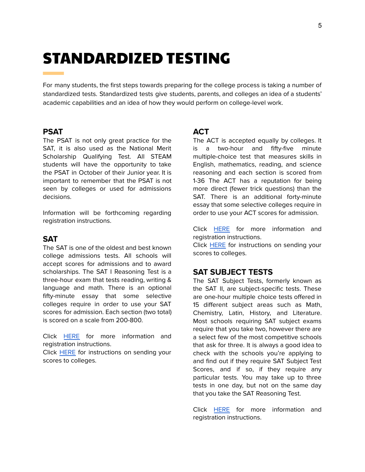### <span id="page-5-0"></span>STANDARDIZED TESTING

For many students, the first steps towards preparing for the college process is taking a number of standardized tests. Standardized tests give students, parents, and colleges an idea of a students' academic capabilities and an idea of how they would perform on college-level work.

### **PSAT**

The PSAT is not only great practice for the SAT, it is also used as the National Merit Scholarship Qualifying Test. All STEAM students will have the opportunity to take the PSAT in October of their Junior year. It is important to remember that the PSAT is not seen by colleges or used for admissions decisions.

Information will be forthcoming regarding registration instructions.

### **SAT**

The SAT is one of the oldest and best known college admissions tests. All schools will accept scores for admissions and to award scholarships. The SAT I Reasoning Test is a three-hour exam that tests reading, writing & language and math. There is an optional fifty-minute essay that some selective colleges require in order to use your SAT scores for admission. Each section (two total) is scored on a scale from 200-800.

Click [HERE](https://collegereadiness.collegeboard.org/sat) for more information and registration instructions.

Click [HERE](https://collegereadiness.collegeboard.org/sat/scores/sending-scores) for instructions on sending your scores to colleges.

### **ACT**

The ACT is accepted equally by colleges. It is a two-hour and fifty-five minute multiple-choice test that measures skills in English, mathematics, reading, and science reasoning and each section is scored from 1-36 The ACT has a reputation for being more direct (fewer trick questions) than the SAT. There is an additional forty-minute essay that some selective colleges require in order to use your ACT scores for admission.

Click [HERE](https://www.act.org/content/act/en/products-and-services/the-act.html) for more information and registration instructions.

Click **[HERE](https://www.act.org/content/act/en/products-and-services/the-act/scores/sending-your-scores.html)** for instructions on sending your scores to colleges.

### **SAT SUBJECT TESTS**

The SAT Subject Tests, formerly known as the SAT II, are subject-specific tests. These are one-hour multiple choice tests offered in 15 different subject areas such as Math, Chemistry, Latin, History, and Literature. Most schools requiring SAT subject exams require that you take two, however there are a select few of the most competitive schools that ask for three. It is always a good idea to check with the schools you're applying to and find out if they require SAT Subject Test Scores, and if so, if they require any particular tests. You may take up to three tests in one day, but not on the same day that you take the SAT Reasoning Test.

Click **[HERE](https://collegereadiness.collegeboard.org/sat-subject-tests)** for more information and registration instructions.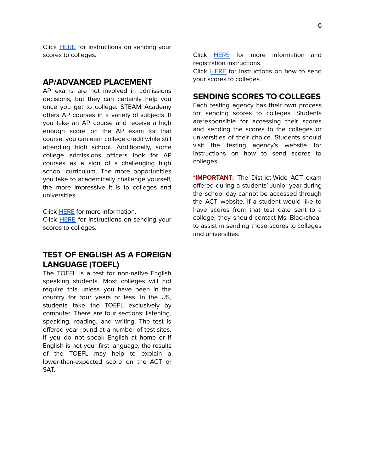Click [HERE](https://collegereadiness.collegeboard.org/sat-subject-tests/scores/sending-scores) for instructions on sending your scores to colleges.

### **AP/ADVANCED PLACEMENT**

AP exams are not involved in admissions decisions, but they can certainly help you once you get to college. STEAM Academy offers AP courses in a variety of subjects. If you take an AP course and receive a high enough score on the AP exam for that course, you can earn college credit while still attending high school. Additionally, some college admissions officers look for AP courses as a sign of a challenging high school curriculum. The more opportunities you take to academically challenge yourself, the more impressive it is to colleges and universities.

Click [HERE](https://apstudents.collegeboard.org/?affiliateId=ap%7Chome&bannerId=heroa%7Caps-hp) for more information.

Click **[HERE](https://apstudents.collegeboard.org/sending-scores)** for instructions on sending your scores to colleges.

### **TEST OF ENGLISH AS A FOREIGN LANGUAGE (TOEFL)**

The TOEFL is a test for non-native English speaking students. Most colleges will not require this unless you have been in the country for four years or less. In the US, students take the TOEFL exclusively by computer. There are four sections: listening, speaking, reading, and writing. The test is offered year-round at a number of test sites. If you do not speak English at home or if English is not your first language, the results of the TOEFL may help to explain a lower-than-expected score on the ACT or SAT.

Click [HERE](https://www.ets.org/toefl) for more information and registration instructions.

Click [HERE](https://www.ets.org/toefl/ibt/scores/send/) for instructions on how to send your scores to colleges.

### **SENDING SCORES TO COLLEGES**

Each testing agency has their own process for sending scores to colleges. Students areresponsible for accessing their scores and sending the scores to the colleges or universities of their choice. Students should visit the testing agency's website for instructions on how to send scores to colleges.

**\*IMPORTANT:** The District-Wide ACT exam offered during a students' Junior year during the school day cannot be accessed through the ACT website. If a student would like to have scores from that test date sent to a college, they should contact Ms. Blackshear to assist in sending those scores to colleges and universities.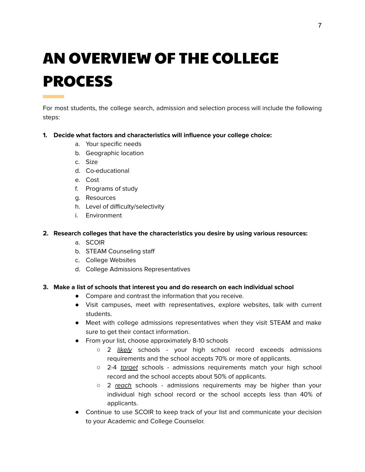## AN OVERVIEW OF THE COLLEGE PROCESS

For most students, the college search, admission and selection process will include the following steps:

### **1. Decide what factors and characteristics will influence your college choice:**

- a. Your specific needs
- b. Geographic location
- c. Size
- d. Co-educational
- e. Cost
- f. Programs of study
- g. Resources
- h. Level of difficulty/selectivity
- i. Environment

### **2. Research colleges that have the characteristics you desire by using various resources:**

- a. SCOIR
- b. STEAM Counseling staff
- c. College Websites
- d. College Admissions Representatives

### **3. Make a list of schools that interest you and do research on each individual school**

- Compare and contrast the information that you receive.
- Visit campuses, meet with representatives, explore websites, talk with current students.
- Meet with college admissions representatives when they visit STEAM and make sure to get their contact information.
- From your list, choose approximately 8-10 schools
	- 2 likely schools your high school record exceeds admissions requirements and the school accepts 70% or more of applicants.
	- 2-4 target schools admissions requirements match your high school record and the school accepts about 50% of applicants.
	- $\circ$  2 reach schools admissions requirements may be higher than your individual high school record or the school accepts less than 40% of applicants.
- Continue to use SCOIR to keep track of your list and communicate your decision to your Academic and College Counselor.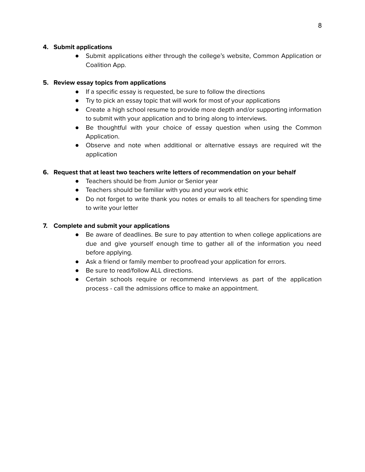### **4. Submit applications**

● Submit applications either through the college's website, Common Application or Coalition App.

### **5. Review essay topics from applications**

- If a specific essay is requested, be sure to follow the directions
- Try to pick an essay topic that will work for most of your applications
- Create a high school resume to provide more depth and/or supporting information to submit with your application and to bring along to interviews.
- Be thoughtful with your choice of essay question when using the Common Application.
- Observe and note when additional or alternative essays are required wit the application

### **6. Request that at least two teachers write letters of recommendation on your behalf**

- Teachers should be from Junior or Senior year
- Teachers should be familiar with you and your work ethic
- Do not forget to write thank you notes or emails to all teachers for spending time to write your letter

### **7. Complete and submit your applications**

- Be aware of deadlines. Be sure to pay attention to when college applications are due and give yourself enough time to gather all of the information you need before applying.
- Ask a friend or family member to proofread your application for errors.
- Be sure to read/follow ALL directions.
- Certain schools require or recommend interviews as part of the application process - call the admissions office to make an appointment.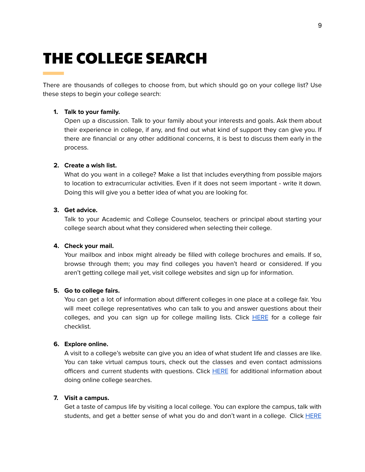### <span id="page-9-0"></span>THE COLLEGE SEARCH

There are thousands of colleges to choose from, but which should go on your college list? Use these steps to begin your college search:

#### **1. Talk to your family.**

Open up a discussion. Talk to your family about your interests and goals. Ask them about their experience in college, if any, and find out what kind of support they can give you. If there are financial or any other additional concerns, it is best to discuss them early in the process.

#### **2. Create a wish list.**

What do you want in a college? Make a list that includes everything from possible majors to location to extracurricular activities. Even if it does not seem important - write it down. Doing this will give you a better idea of what you are looking for.

### **3. Get advice.**

Talk to your Academic and College Counselor, teachers or principal about starting your college search about what they considered when selecting their college.

### **4. Check your mail.**

Your mailbox and inbox might already be filled with college brochures and emails. If so, browse through them; you may find colleges you haven't heard or considered. If you aren't getting college mail yet, visit college websites and sign up for information.

#### **5. Go to college fairs.**

You can get a lot of information about different colleges in one place at a college fair. You will meet college representatives who can talk to you and answer questions about their colleges, and you can sign up for college mailing lists. Click [HERE](https://bigfuture.collegeboard.org/find-colleges/how-to-find-your-college-fit/college-fair-checklist) for a college fair checklist.

### **6. Explore online.**

A visit to a college's website can give you an idea of what student life and classes are like. You can take virtual campus tours, check out the classes and even contact admissions officers and current students with questions. Click [HERE](https://bigfuture.collegeboard.org/find-colleges/campus-visit-guide/10-ways-to-learn-about-colleges-online) for additional information about doing online college searches.

#### **7. Visit a campus.**

Get a taste of campus life by visiting a local college. You can explore the campus, talk with students, and get a better sense of what you do and don't want in a college. Click **[HERE](https://secure-media.collegeboard.org/CollegePlanning/media/pdf/campus-visit-checklist.pdf)**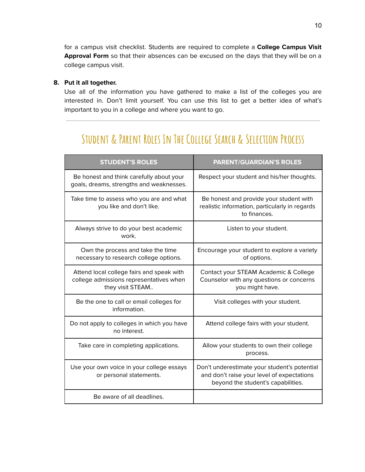for a campus visit checklist. Students are required to complete a **College Campus Visit Approval Form** so that their absences can be excused on the days that they will be on a college campus visit.

### **8. Put it all together.**

Use all of the information you have gathered to make a list of the colleges you are interested in. Don't limit yourself. You can use this list to get a better idea of what's important to you in a college and where you want to go.

### **Student & Parent Roles In The College Search & Selection Process**

| <b>STUDENT'S ROLES</b>                                                                                   | <b>PARENT/GUARDIAN'S ROLES</b>                                                                                                   |
|----------------------------------------------------------------------------------------------------------|----------------------------------------------------------------------------------------------------------------------------------|
| Be honest and think carefully about your<br>goals, dreams, strengths and weaknesses.                     | Respect your student and his/her thoughts.                                                                                       |
| Take time to assess who you are and what<br>you like and don't like.                                     | Be honest and provide your student with<br>realistic information, particularly in regards<br>to finances.                        |
| Always strive to do your best academic<br>work.                                                          | Listen to your student.                                                                                                          |
| Own the process and take the time<br>necessary to research college options.                              | Encourage your student to explore a variety<br>of options.                                                                       |
| Attend local college fairs and speak with<br>college admissions representatives when<br>they visit STEAM | Contact your STEAM Academic & College<br>Counselor with any questions or concerns<br>you might have.                             |
| Be the one to call or email colleges for<br>information.                                                 | Visit colleges with your student.                                                                                                |
| Do not apply to colleges in which you have<br>no interest.                                               | Attend college fairs with your student.                                                                                          |
| Take care in completing applications.                                                                    | Allow your students to own their college<br>process.                                                                             |
| Use your own voice in your college essays<br>or personal statements.                                     | Don't underestimate your student's potential<br>and don't raise your level of expectations<br>beyond the student's capabilities. |
| Be aware of all deadlines.                                                                               |                                                                                                                                  |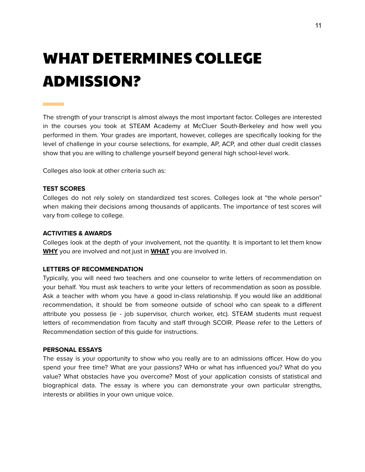### <span id="page-11-0"></span>WHAT DETERMINES COLLEGE ADMISSION?

The strength of your transcript is almost always the most important factor. Colleges are interested in the courses you took at STEAM Academy at McCluer South-Berkeley and how well you performed in them. Your grades are important, however, colleges are specifically looking for the level of challenge in your course selections, for example, AP, ACP, and other dual credit classes show that you are willing to challenge yourself beyond general high school-level work.

Colleges also look at other criteria such as:

#### **TEST SCORES**

Colleges do not rely solely on standardized test scores. Colleges look at "the whole person" when making their decisions among thousands of applicants. The importance of test scores will vary from college to college.

#### **ACTIVITIES & AWARDS**

Colleges look at the depth of your involvement, not the quantity. It is important to let them know **WHY** you are involved and not just in **WHAT** you are involved in.

#### **LETTERS OF RECOMMENDATION**

Typically, you will need two teachers and one counselor to write letters of recommendation on your behalf. You must ask teachers to write your letters of recommendation as soon as possible. Ask a teacher with whom you have a good in-class relationship. If you would like an additional recommendation, it should be from someone outside of school who can speak to a different attribute you possess (ie - job supervisor, church worker, etc). STEAM students must request letters of recommendation from faculty and staff through SCOIR. Please refer to the Letters of Recommendation section of this guide for instructions.

#### **PERSONAL ESSAYS**

The essay is your opportunity to show who you really are to an admissions officer. How do you spend your free time? What are your passions? WHo or what has influenced you? What do you value? What obstacles have you overcome? Most of your application consists of statistical and biographical data. The essay is where you can demonstrate your own particular strengths, interests or abilities in your own unique voice.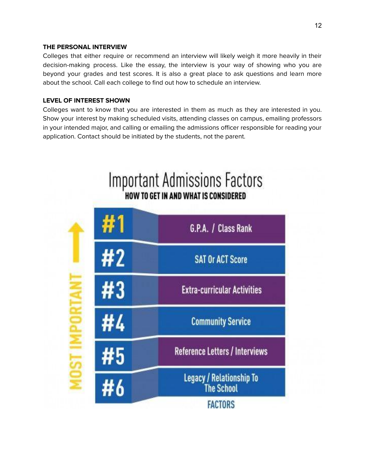### **THE PERSONAL INTERVIEW**

Colleges that either require or recommend an interview will likely weigh it more heavily in their decision-making process. Like the essay, the interview is your way of showing who you are beyond your grades and test scores. It is also a great place to ask questions and learn more about the school. Call each college to find out how to schedule an interview.

### **LEVEL OF INTEREST SHOWN**

Colleges want to know that you are interested in them as much as they are interested in you. Show your interest by making scheduled visits, attending classes on campus, emailing professors in your intended major, and calling or emailing the admissions officer responsible for reading your application. Contact should be initiated by the students, not the parent.

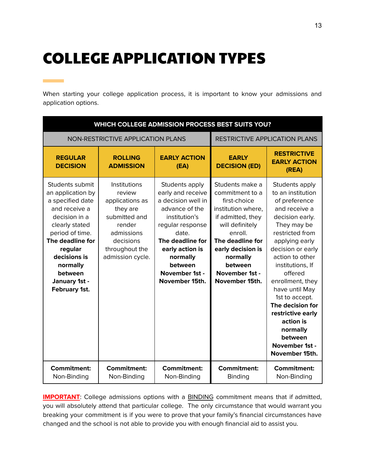### <span id="page-13-0"></span>COLLEGE APPLICATION TYPES

m.

When starting your college application process, it is important to know your admissions and application options.

| WHICH COLLEGE ADMISSION PROCESS BEST SUITS YOU?                                                                                                                                                                                         |                                                                                                                                                   |                                                                                                                                                                                                                             |                                                                                                                                                                                                                                 |                                                                                                                                                                                                                                                                                                                                                                                              |
|-----------------------------------------------------------------------------------------------------------------------------------------------------------------------------------------------------------------------------------------|---------------------------------------------------------------------------------------------------------------------------------------------------|-----------------------------------------------------------------------------------------------------------------------------------------------------------------------------------------------------------------------------|---------------------------------------------------------------------------------------------------------------------------------------------------------------------------------------------------------------------------------|----------------------------------------------------------------------------------------------------------------------------------------------------------------------------------------------------------------------------------------------------------------------------------------------------------------------------------------------------------------------------------------------|
| NON-RESTRICTIVE APPLICATION PLANS                                                                                                                                                                                                       |                                                                                                                                                   | <b>RESTRICTIVE APPLICATION PLANS</b>                                                                                                                                                                                        |                                                                                                                                                                                                                                 |                                                                                                                                                                                                                                                                                                                                                                                              |
| <b>REGULAR</b><br><b>DECISION</b>                                                                                                                                                                                                       | <b>ROLLING</b><br><b>ADMISSION</b>                                                                                                                | <b>EARLY ACTION</b><br>(EA)                                                                                                                                                                                                 | <b>EARLY</b><br><b>DECISION (ED)</b>                                                                                                                                                                                            | <b>RESTRICTIVE</b><br><b>EARLY ACTION</b><br>(REA)                                                                                                                                                                                                                                                                                                                                           |
| Students submit<br>an application by<br>a specified date<br>and receive a<br>decision in a<br>clearly stated<br>period of time.<br>The deadline for<br>regular<br>decisions is<br>normally<br>between<br>January 1st -<br>February 1st. | Institutions<br>review<br>applications as<br>they are<br>submitted and<br>render<br>admissions<br>decisions<br>throughout the<br>admission cycle. | Students apply<br>early and receive<br>a decision well in<br>advance of the<br>institution's<br>regular response<br>date.<br>The deadline for<br>early action is<br>normally<br>between<br>November 1st -<br>November 15th. | Students make a<br>commitment to a<br>first-choice<br>institution where,<br>if admitted, they<br>will definitely<br>enroll.<br>The deadline for<br>early decision is<br>normally<br>between<br>November 1st -<br>November 15th. | Students apply<br>to an institution<br>of preference<br>and receive a<br>decision early.<br>They may be<br>restricted from<br>applying early<br>decision or early<br>action to other<br>institutions, If<br>offered<br>enrollment, they<br>have until May<br>1st to accept.<br>The decision for<br>restrictive early<br>action is<br>normally<br>between<br>November 1st -<br>November 15th. |
| <b>Commitment:</b><br>Non-Binding                                                                                                                                                                                                       | <b>Commitment:</b><br>Non-Binding                                                                                                                 | <b>Commitment:</b><br>Non-Binding                                                                                                                                                                                           | <b>Commitment:</b><br>Binding                                                                                                                                                                                                   | <b>Commitment:</b><br>Non-Binding                                                                                                                                                                                                                                                                                                                                                            |

**IMPORTANT**: College admissions options with a **BINDING** commitment means that if admitted, you will absolutely attend that particular college. The only circumstance that would warrant you breaking your commitment is if you were to prove that your family's financial circumstances have changed and the school is not able to provide you with enough financial aid to assist you.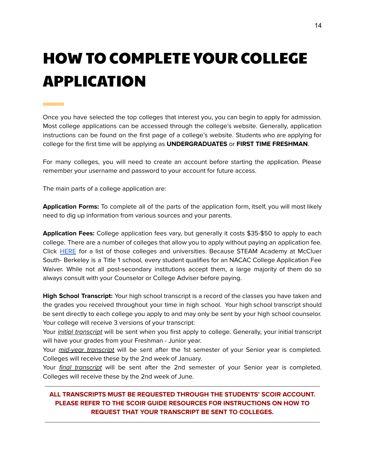## <span id="page-14-0"></span>HOW TO COMPLETE YOUR COLLEGE APPLICATION

Once you have selected the top colleges that interest you, you can begin to apply for admission. Most college applications can be accessed through the college's website. Generally, application instructions can be found on the first page of a college's website. Students who are applying for college for the first time will be applying as **UNDERGRADUATES** or **FIRST TIME FRESHMAN**.

For many colleges, you will need to create an account before starting the application. Please remember your username and password to your account for future access.

The main parts of a college application are:

**Application Forms:** To complete all of the parts of the application form, itself, you will most likely need to dig up information from various sources and your parents.

**Application Fees:** College application fees vary, but generally it costs \$35-\$50 to apply to each college. There are a number of colleges that allow you to apply without paying an application fee. Click [HERE](https://blog.prepscholar.com/colleges-with-no-application-fee) for a list of those colleges and universities. Because STEAM Academy at McCluer South- Berkeley is a Title 1 school, every student qualifies for an NACAC College Application Fee Waiver. While not all post-secondary institutions accept them, a large majority of them do so always consult with your Counselor or College Adviser before paying.

**High School Transcript:** Your high school transcript is a record of the classes you have taken and the grades you received throughout your time in high school. Your high school transcript should be sent directly to each college you apply to and may only be sent by your high school counselor. Your college will receive 3 versions of your transcript:

Your *initial transcript* will be sent when you first apply to college. Generally, your initial transcript will have your grades from your Freshman - Junior year.

Your *mid-year transcript* will be sent after the 1st semester of your Senior year is completed. Colleges will receive these by the 2nd week of January.

Your final transcript will be sent after the 2nd semester of your Senior year is completed. Colleges will receive these by the 2nd week of June.

### **ALL TRANSCRIPTS MUST BE REQUESTED THROUGH THE STUDENTS' SCOIR ACCOUNT. PLEASE REFER TO THE SCOIR GUIDE RESOURCES FOR INSTRUCTIONS ON HOW TO REQUEST THAT YOUR TRANSCRIPT BE SENT TO COLLEGES.**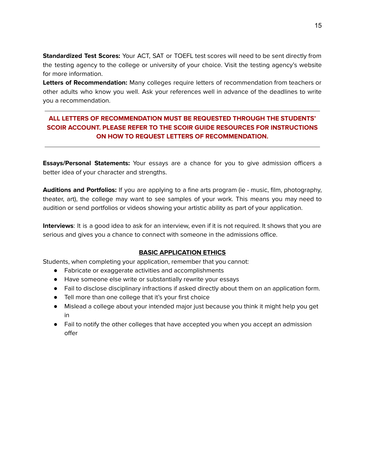**Standardized Test Scores:** Your ACT, SAT or TOEFL test scores will need to be sent directly from the testing agency to the college or university of your choice. Visit the testing agency's website for more information.

**Letters of Recommendation:** Many colleges require letters of recommendation from teachers or other adults who know you well. Ask your references well in advance of the deadlines to write you a recommendation.

### **ALL LETTERS OF RECOMMENDATION MUST BE REQUESTED THROUGH THE STUDENTS' SCOIR ACCOUNT. PLEASE REFER TO THE SCOIR GUIDE RESOURCES FOR INSTRUCTIONS ON HOW TO REQUEST LETTERS OF RECOMMENDATION.**

**Essays/Personal Statements:** Your essays are a chance for you to give admission officers a better idea of your character and strengths.

**Auditions and Portfolios:** If you are applying to a fine arts program (ie - music, film, photography, theater, art), the college may want to see samples of your work. This means you may need to audition or send portfolios or videos showing your artistic ability as part of your application.

**Interviews**: It is a good idea to ask for an interview, even if it is not required. It shows that you are serious and gives you a chance to connect with someone in the admissions office.

### **BASIC APPLICATION ETHICS**

Students, when completing your application, remember that you cannot:

- Fabricate or exaggerate activities and accomplishments
- Have someone else write or substantially rewrite your essays
- Fail to disclose disciplinary infractions if asked directly about them on an application form.
- Tell more than one college that it's your first choice
- Mislead a college about your intended major just because you think it might help you get in
- Fail to notify the other colleges that have accepted you when you accept an admission offer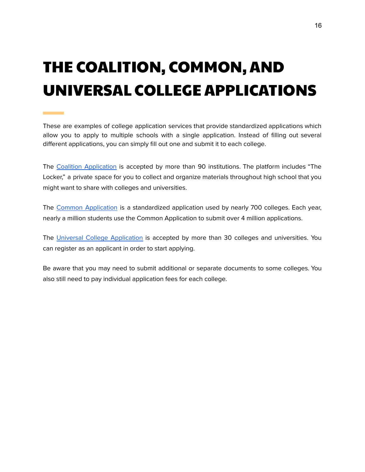## <span id="page-16-0"></span>THE COALITION, COMMON, AND UNIVERSAL COLLEGE APPLICATIONS

These are examples of college application services that provide standardized applications which allow you to apply to multiple schools with a single application. Instead of filling out several different applications, you can simply fill out one and submit it to each college.

The Coalition [Application](http://www.coalitionforcollegeaccess.org/) is accepted by more than 90 institutions. The platform includes "The Locker," a private space for you to collect and organize materials throughout high school that you might want to share with colleges and universities.

The Common [Application](https://www.commonapp.org/) is a standardized application used by nearly 700 colleges. Each year, nearly a million students use the Common Application to submit over 4 million applications.

The Universal College [Application](https://www.universalcollegeapp.com/) is accepted by more than 30 colleges and universities. You can register as an applicant in order to start applying.

Be aware that you may need to submit additional or separate documents to some colleges. You also still need to pay individual application fees for each college.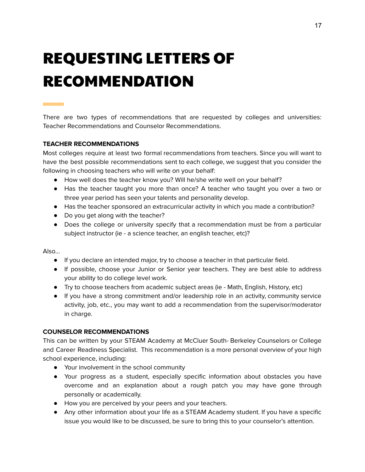## <span id="page-17-0"></span>REQUESTING LETTERS OF RECOMMENDATION

There are two types of recommendations that are requested by colleges and universities: Teacher Recommendations and Counselor Recommendations.

### **TEACHER RECOMMENDATIONS**

Most colleges require at least two formal recommendations from teachers. Since you will want to have the best possible recommendations sent to each college, we suggest that you consider the following in choosing teachers who will write on your behalf:

- How well does the teacher know you? Will he/she write well on your behalf?
- Has the teacher taught you more than once? A teacher who taught you over a two or three year period has seen your talents and personality develop.
- Has the teacher sponsored an extracurricular activity in which you made a contribution?
- Do you get along with the teacher?
- Does the college or university specify that a recommendation must be from a particular subject instructor (ie - a science teacher, an english teacher, etc)?

Also…

- If you declare an intended major, try to choose a teacher in that particular field.
- If possible, choose your Junior or Senior year teachers. They are best able to address your ability to do college level work.
- Try to choose teachers from academic subject areas (ie Math, English, History, etc)
- If you have a strong commitment and/or leadership role in an activity, community service activity, job, etc., you may want to add a recommendation from the supervisor/moderator in charge.

### **COUNSELOR RECOMMENDATIONS**

This can be written by your STEAM Academy at McCluer South- Berkeley Counselors or College and Career Readiness Specialist. This recommendation is a more personal overview of your high school experience, including:

- Your involvement in the school community
- Your progress as a student, especially specific information about obstacles you have overcome and an explanation about a rough patch you may have gone through personally or academically.
- How you are perceived by your peers and your teachers.
- Any other information about your life as a STEAM Academy student. If you have a specific issue you would like to be discussed, be sure to bring this to your counselor's attention.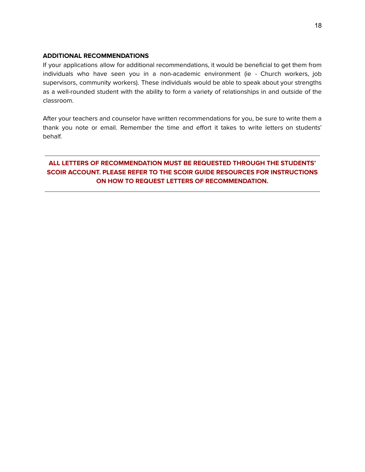### **ADDITIONAL RECOMMENDATIONS**

If your applications allow for additional recommendations, it would be beneficial to get them from individuals who have seen you in a non-academic environment (ie - Church workers, job supervisors, community workers). These individuals would be able to speak about your strengths as a well-rounded student with the ability to form a variety of relationships in and outside of the classroom.

After your teachers and counselor have written recommendations for you, be sure to write them a thank you note or email. Remember the time and effort it takes to write letters on students' behalf.

### **ALL LETTERS OF RECOMMENDATION MUST BE REQUESTED THROUGH THE STUDENTS' SCOIR ACCOUNT. PLEASE REFER TO THE SCOIR GUIDE RESOURCES FOR INSTRUCTIONS ON HOW TO REQUEST LETTERS OF RECOMMENDATION.**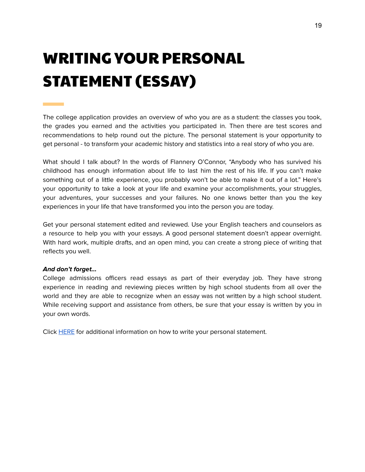## <span id="page-19-0"></span>WRITING YOUR PERSONAL STATEMENT (ESSAY)

The college application provides an overview of who you are as a student: the classes you took, the grades you earned and the activities you participated in. Then there are test scores and recommendations to help round out the picture. The personal statement is your opportunity to get personal - to transform your academic history and statistics into a real story of who you are.

What should I talk about? In the words of Flannery O'Connor, "Anybody who has survived his childhood has enough information about life to last him the rest of his life. If you can't make something out of a little experience, you probably won't be able to make it out of a lot." Here's your opportunity to take a look at your life and examine your accomplishments, your struggles, your adventures, your successes and your failures. No one knows better than you the key experiences in your life that have transformed you into the person you are today.

Get your personal statement edited and reviewed. Use your English teachers and counselors as a resource to help you with your essays. A good personal statement doesn't appear overnight. With hard work, multiple drafts, and an open mind, you can create a strong piece of writing that reflects you well.

### **And don't forget…**

College admissions officers read essays as part of their everyday job. They have strong experience in reading and reviewing pieces written by high school students from all over the world and they are able to recognize when an essay was not written by a high school student. While receiving support and assistance from others, be sure that your essay is written by you in your own words.

Click [HERE](https://bigfuture.collegeboard.org/get-in/essays/tips-for-writing-an-effective-application-essay-college-admissions) for additional information on how to write your personal statement.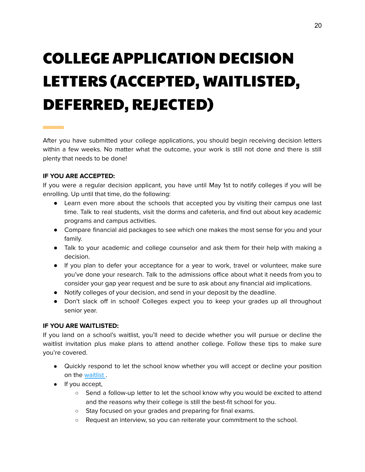## COLLEGE APPLICATION DECISION LETTERS (ACCEPTED, WAITLISTED, DEFERRED, REJECTED)

<span id="page-20-0"></span>After you have submitted your college applications, you should begin receiving decision letters within a few weeks. No matter what the outcome, your work is still not done and there is still plenty that needs to be done!

### **IF YOU ARE ACCEPTED:**

If you were a regular decision applicant, you have until May 1st to notify colleges if you will be enrolling. Up until that time, do the following:

- Learn even more about the schools that accepted you by visiting their campus one last time. Talk to real students, visit the dorms and cafeteria, and find out about key academic programs and campus activities.
- Compare financial aid packages to see which one makes the most sense for you and your family.
- Talk to your academic and college counselor and ask them for their help with making a decision.
- If you plan to defer your acceptance for a year to work, travel or volunteer, make sure you've done your research. Talk to the admissions office about what it needs from you to consider your gap year request and be sure to ask about any financial aid implications.
- Notify colleges of your decision, and send in your deposit by the deadline.
- Don't slack off in school! Colleges expect you to keep your grades up all throughout senior year.

### **IF YOU ARE WAITLISTED:**

If you land on a school's waitlist, you'll need to decide whether you will pursue or decline the waitlist invitation plus make plans to attend another college. Follow these tips to make sure you're covered.

- Quickly respond to let the school know whether you will accept or decline your position on the [waitlist](https://www.princetonreview.com/college-advice/waitlist) .
- If you accept,
	- Send a follow-up letter to let the school know why you would be excited to attend and the reasons why their college is still the best-fit school for you.
	- Stay focused on your grades and preparing for final exams.
	- Request an interview, so you can reiterate your commitment to the school.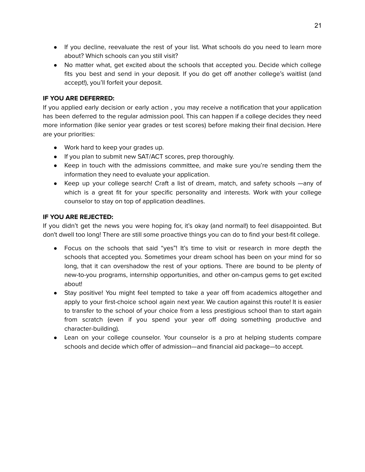- If you decline, reevaluate the rest of your list. What schools do you need to learn more about? Which schools can you still visit?
- No matter what, get excited about the schools that accepted you. Decide which college fits you best and send in your deposit. If you do get off another college's waitlist (and accept!), you'll forfeit your deposit.

### **IF YOU ARE DEFERRED:**

If you applied early decision or early action , you may receive a notification that your application has been deferred to the regular admission pool. This can happen if a college decides they need more information (like senior year grades or test scores) before making their final decision. Here are your priorities:

- Work hard to keep your grades up.
- If you plan to submit new SAT/ACT scores, prep thoroughly.
- Keep in touch with the admissions committee, and make sure you're sending them the information they need to evaluate your application.
- Keep up your college search! Craft a list of dream, match, and safety schools —any of which is a great fit for your specific personality and interests. Work with your college counselor to stay on top of application deadlines.

### **IF YOU ARE REJECTED:**

If you didn't get the news you were hoping for, it's okay (and normal!) to feel disappointed. But don't dwell too long! There are still some proactive things you can do to find your best-fit college.

- Focus on the schools that said "yes"! It's time to visit or research in more depth the schools that accepted you. Sometimes your dream school has been on your mind for so long, that it can overshadow the rest of your options. There are bound to be plenty of new-to-you programs, internship opportunities, and other on-campus gems to get excited about!
- Stay positive! You might feel tempted to take a year off from academics altogether and apply to your first-choice school again next year. We caution against this route! It is easier to transfer to the school of your choice from a less prestigious school than to start again from scratch (even if you spend your year off doing something productive and character-building).
- Lean on your college counselor. Your counselor is a pro at helping students compare schools and decide which offer of admission—and financial aid package—to accept.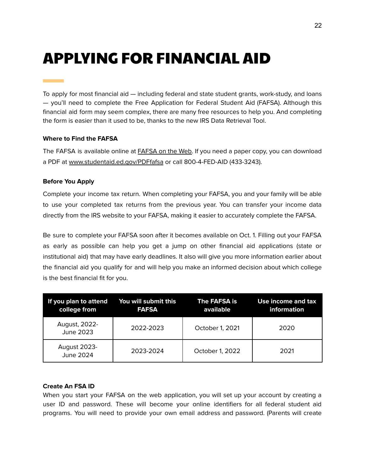### <span id="page-22-0"></span>APPLYING FOR FINANCIAL AID

To apply for most financial aid — including federal and state student grants, work-study, and loans — you'll need to complete the Free Application for Federal Student Aid (FAFSA). Although this financial aid form may seem complex, there are many free resources to help you. And completing the form is easier than it used to be, thanks to the new IRS Data Retrieval Tool.

### **Where to Find the FAFSA**

The FAFSA is available online at [FAFSA](http://www.fafsa.ed.gov/) on the Web. If you need a paper copy, you can download a PDF at [www.studentaid.ed.gov/PDFfafsa](http://www.studentaid.ed.gov/PDFfafsa) or call 800-4-FED-AID (433-3243).

### **Before You Apply**

Complete your income tax return. When completing your FAFSA, you and your family will be able to use your completed tax returns from the previous year. You can transfer your income data directly from the IRS website to your FAFSA, making it easier to accurately complete the FAFSA.

Be sure to complete your FAFSA soon after it becomes available on Oct. 1. Filling out your FAFSA as early as possible can help you get a jump on other financial aid applications (state or institutional aid) that may have early deadlines. It also will give you more information earlier about the financial aid you qualify for and will help you make an informed decision about which college is the best financial fit for you.

| If you plan to attend You will submit this<br>college from | <b>FAFSA</b> | The FAFSA is<br>available | Use income and tax<br>information |
|------------------------------------------------------------|--------------|---------------------------|-----------------------------------|
| August, 2022-<br><b>June 2023</b>                          | 2022-2023    | October 1, 2021           | 2020                              |
| <b>August 2023-</b><br><b>June 2024</b>                    | 2023-2024    | October 1, 2022           | 2021                              |

#### **Create An FSA ID**

When you start your FAFSA on the web application, you will set up your account by creating a user ID and password. These will become your online identifiers for all federal student aid programs. You will need to provide your own email address and password. (Parents will create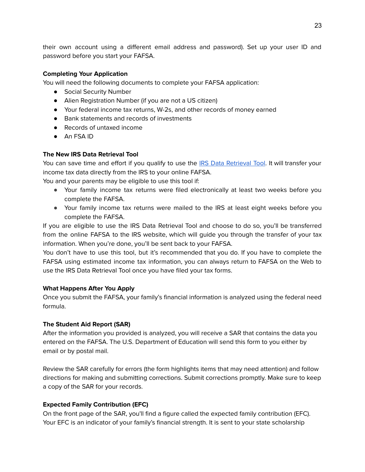their own account using a different email address and password). Set up your user ID and password before you start your FAFSA.

### **Completing Your Application**

You will need the following documents to complete your FAFSA application:

- Social Security Number
- Alien Registration Number (if you are not a US citizen)
- Your federal income tax returns, W-2s, and other records of money earned
- Bank statements and records of investments
- Records of untaxed income
- An FSA ID

### **The New IRS Data Retrieval Tool**

You can save time and effort if you qualify to use the IRS Data [Retrieval](https://studentaid.ed.gov/fafsa/filling-out#when-irs-drt) Tool. It will transfer your income tax data directly from the IRS to your online FAFSA.

You and your parents may be eligible to use this tool if:

- Your family income tax returns were filed electronically at least two weeks before you complete the FAFSA.
- Your family income tax returns were mailed to the IRS at least eight weeks before you complete the FAFSA.

If you are eligible to use the IRS Data Retrieval Tool and choose to do so, you'll be transferred from the online FAFSA to the IRS website, which will guide you through the transfer of your tax information. When you're done, you'll be sent back to your FAFSA.

You don't have to use this tool, but it's recommended that you do. If you have to complete the FAFSA using estimated income tax information, you can always return to FAFSA on the Web to use the IRS Data Retrieval Tool once you have filed your tax forms.

### **What Happens After You Apply**

Once you submit the FAFSA, your family's financial information is analyzed using the federal need formula.

### **The Student Aid Report (SAR)**

After the information you provided is analyzed, you will receive a SAR that contains the data you entered on the FAFSA. The U.S. Department of Education will send this form to you either by email or by postal mail.

Review the SAR carefully for errors (the form highlights items that may need attention) and follow directions for making and submitting corrections. Submit corrections promptly. Make sure to keep a copy of the SAR for your records.

### **Expected Family Contribution (EFC)**

On the front page of the SAR, you'll find a figure called the expected family contribution (EFC). Your EFC is an indicator of your family's financial strength. It is sent to your state scholarship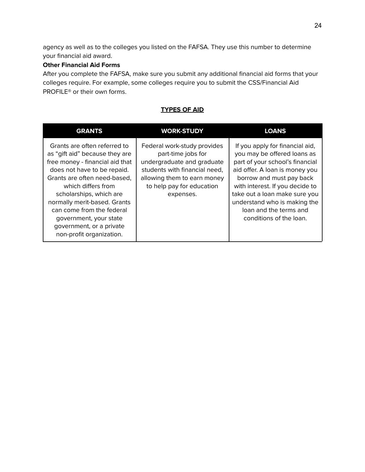agency as well as to the colleges you listed on the FAFSA. They use this number to determine your financial aid award.

### **Other Financial Aid Forms**

After you complete the FAFSA, make sure you submit any additional financial aid forms that your colleges require. For example, some colleges require you to submit the CSS/Financial Aid PROFILE® or their own forms.

| <b>GRANTS</b>                                                                                                                                                                                                                                                                                                                                                    | <b>WORK-STUDY</b>                                                                                                                                                                         | <b>LOANS</b>                                                                                                                                                                                                                                                                                                             |
|------------------------------------------------------------------------------------------------------------------------------------------------------------------------------------------------------------------------------------------------------------------------------------------------------------------------------------------------------------------|-------------------------------------------------------------------------------------------------------------------------------------------------------------------------------------------|--------------------------------------------------------------------------------------------------------------------------------------------------------------------------------------------------------------------------------------------------------------------------------------------------------------------------|
| Grants are often referred to<br>as "gift aid" because they are<br>free money - financial aid that<br>does not have to be repaid.<br>Grants are often need-based,<br>which differs from<br>scholarships, which are<br>normally merit-based. Grants<br>can come from the federal<br>government, your state<br>government, or a private<br>non-profit organization. | Federal work-study provides<br>part-time jobs for<br>undergraduate and graduate<br>students with financial need,<br>allowing them to earn money<br>to help pay for education<br>expenses. | If you apply for financial aid,<br>you may be offered loans as<br>part of your school's financial<br>aid offer. A loan is money you<br>borrow and must pay back<br>with interest. If you decide to<br>take out a loan make sure you<br>understand who is making the<br>loan and the terms and<br>conditions of the loan. |

### **TYPES OF AID**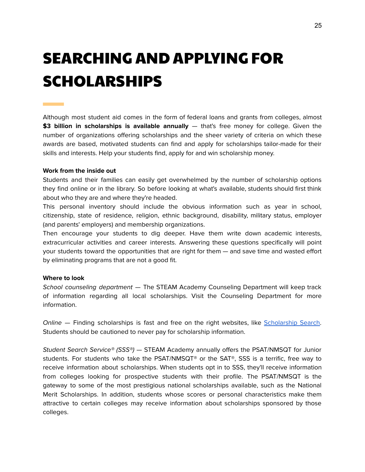## <span id="page-25-0"></span>SEARCHING AND APPLYING FOR SCHOLARSHIPS

Although most student aid comes in the form of federal loans and grants from colleges, almost **\$3 billion in scholarships is available annually** — that's free money for college. Given the number of organizations offering scholarships and the sheer variety of criteria on which these awards are based, motivated students can find and apply for scholarships tailor-made for their skills and interests. Help your students find, apply for and win scholarship money.

### **Work from the inside out**

Students and their families can easily get overwhelmed by the number of scholarship options they find online or in the library. So before looking at what's available, students should first think about who they are and where they're headed.

This personal inventory should include the obvious information such as year in school, citizenship, state of residence, religion, ethnic background, disability, military status, employer (and parents' employers) and membership organizations.

Then encourage your students to dig deeper. Have them write down academic interests, extracurricular activities and career interests. Answering these questions specifically will point your students toward the opportunities that are right for them — and save time and wasted effort by eliminating programs that are not a good fit.

#### **Where to look**

School counseling department - The STEAM Academy Counseling Department will keep track of information regarding all local scholarships. Visit the Counseling Department for more information.

Online – Finding scholarships is fast and free on the right websites, like [Scholarship](https://bigfuture.collegeboard.org/scholarship-search) Search. Students should be cautioned to never pay for scholarship information.

Student Search Service® (SSS®) — STEAM Academy annually offers the PSAT/NMSQT for Junior students. For students who take the PSAT/NMSQT® or the SAT®, SSS is a terrific, free way to receive information about scholarships. When students opt in to SSS, they'll receive information from colleges looking for prospective students with their profile. The PSAT/NMSQT is the gateway to some of the most prestigious national scholarships available, such as the National Merit Scholarships. In addition, students whose scores or personal characteristics make them attractive to certain colleges may receive information about scholarships sponsored by those colleges.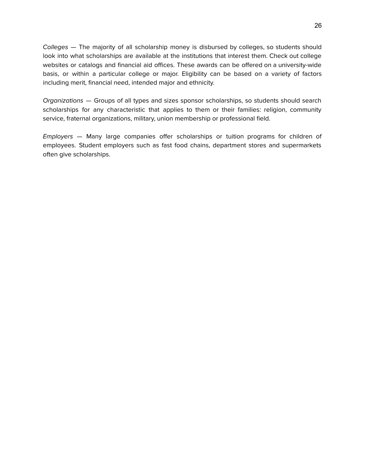Colleges — The majority of all scholarship money is disbursed by colleges, so students should look into what scholarships are available at the institutions that interest them. Check out college websites or catalogs and financial aid offices. These awards can be offered on a university-wide basis, or within a particular college or major. Eligibility can be based on a variety of factors including merit, financial need, intended major and ethnicity.

Organizations — Groups of all types and sizes sponsor scholarships, so students should search scholarships for any characteristic that applies to them or their families: religion, community service, fraternal organizations, military, union membership or professional field.

Employers — Many large companies offer scholarships or tuition programs for children of employees. Student employers such as fast food chains, department stores and supermarkets often give scholarships.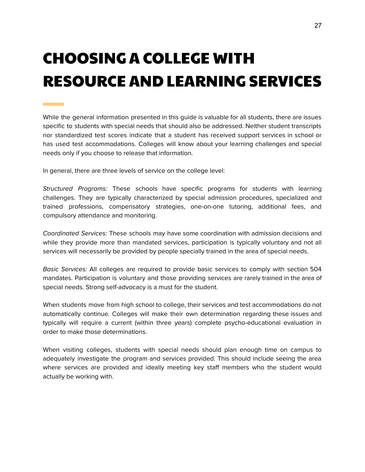## <span id="page-27-0"></span>CHOOSING A COLLEGE WITH RESOURCE AND LEARNING SERVICES

While the general information presented in this guide is valuable for all students, there are issues specific to students with special needs that should also be addressed. Neither student transcripts nor standardized test scores indicate that a student has received support services in school or has used test accommodations. Colleges will know about your learning challenges and special needs only if you choose to release that information.

In general, there are three levels of service on the college level:

**Contract Contract** 

Structured Programs: These schools have specific programs for students with learning challenges. They are typically characterized by special admission procedures, specialized and trained professions, compensatory strategies, one-on-one tutoring, additional fees, and compulsory attendance and monitoring.

Coordinated Services: These schools may have some coordination with admission decisions and while they provide more than mandated services, participation is typically voluntary and not all services will necessarily be provided by people specially trained in the area of special needs.

Basic Services: All colleges are required to provide basic services to comply with section 504 mandates. Participation is voluntary and those providing services are rarely trained in the area of special needs. Strong self-advocacy is a must for the student.

When students move from high school to college, their services and test accommodations do not automatically continue. Colleges will make their own determination regarding these issues and typically will require a current (within three years) complete psycho-educational evaluation in order to make those determinations.

When visiting colleges, students with special needs should plan enough time on campus to adequately investigate the program and services provided. This should include seeing the area where services are provided and ideally meeting key staff members who the student would actually be working with.